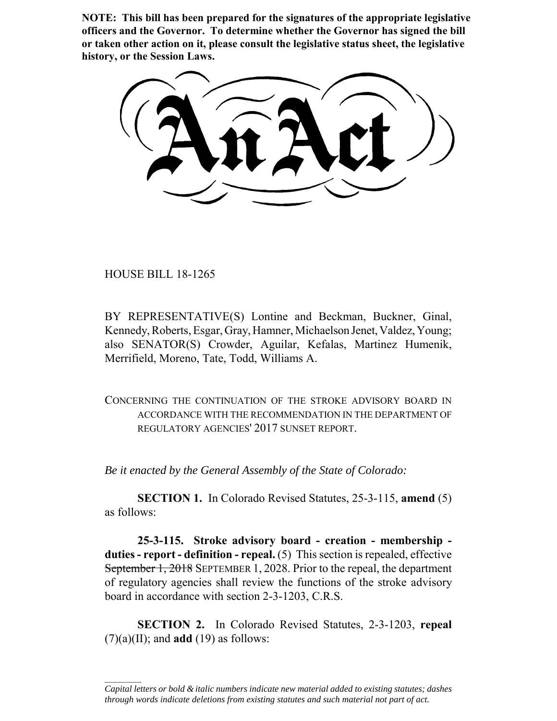**NOTE: This bill has been prepared for the signatures of the appropriate legislative officers and the Governor. To determine whether the Governor has signed the bill or taken other action on it, please consult the legislative status sheet, the legislative history, or the Session Laws.**

HOUSE BILL 18-1265

 $\frac{1}{2}$ 

BY REPRESENTATIVE(S) Lontine and Beckman, Buckner, Ginal, Kennedy, Roberts, Esgar, Gray, Hamner, Michaelson Jenet, Valdez, Young; also SENATOR(S) Crowder, Aguilar, Kefalas, Martinez Humenik, Merrifield, Moreno, Tate, Todd, Williams A.

CONCERNING THE CONTINUATION OF THE STROKE ADVISORY BOARD IN ACCORDANCE WITH THE RECOMMENDATION IN THE DEPARTMENT OF REGULATORY AGENCIES' 2017 SUNSET REPORT.

*Be it enacted by the General Assembly of the State of Colorado:*

**SECTION 1.** In Colorado Revised Statutes, 25-3-115, **amend** (5) as follows:

**25-3-115. Stroke advisory board - creation - membership duties - report - definition - repeal.** (5) This section is repealed, effective September 1, 2018 SEPTEMBER 1, 2028. Prior to the repeal, the department of regulatory agencies shall review the functions of the stroke advisory board in accordance with section 2-3-1203, C.R.S.

**SECTION 2.** In Colorado Revised Statutes, 2-3-1203, **repeal**  $(7)(a)(II)$ ; and **add** (19) as follows:

*Capital letters or bold & italic numbers indicate new material added to existing statutes; dashes through words indicate deletions from existing statutes and such material not part of act.*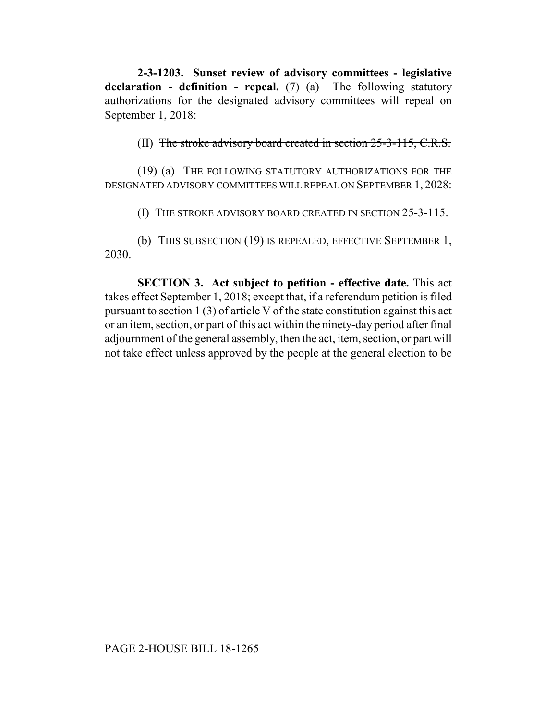**2-3-1203. Sunset review of advisory committees - legislative declaration - definition - repeal.** (7) (a) The following statutory authorizations for the designated advisory committees will repeal on September 1, 2018:

(II) The stroke advisory board created in section 25-3-115, C.R.S.

(19) (a) THE FOLLOWING STATUTORY AUTHORIZATIONS FOR THE DESIGNATED ADVISORY COMMITTEES WILL REPEAL ON SEPTEMBER 1, 2028:

(I) THE STROKE ADVISORY BOARD CREATED IN SECTION 25-3-115.

(b) THIS SUBSECTION (19) IS REPEALED, EFFECTIVE SEPTEMBER 1, 2030.

**SECTION 3. Act subject to petition - effective date.** This act takes effect September 1, 2018; except that, if a referendum petition is filed pursuant to section 1 (3) of article V of the state constitution against this act or an item, section, or part of this act within the ninety-day period after final adjournment of the general assembly, then the act, item, section, or part will not take effect unless approved by the people at the general election to be